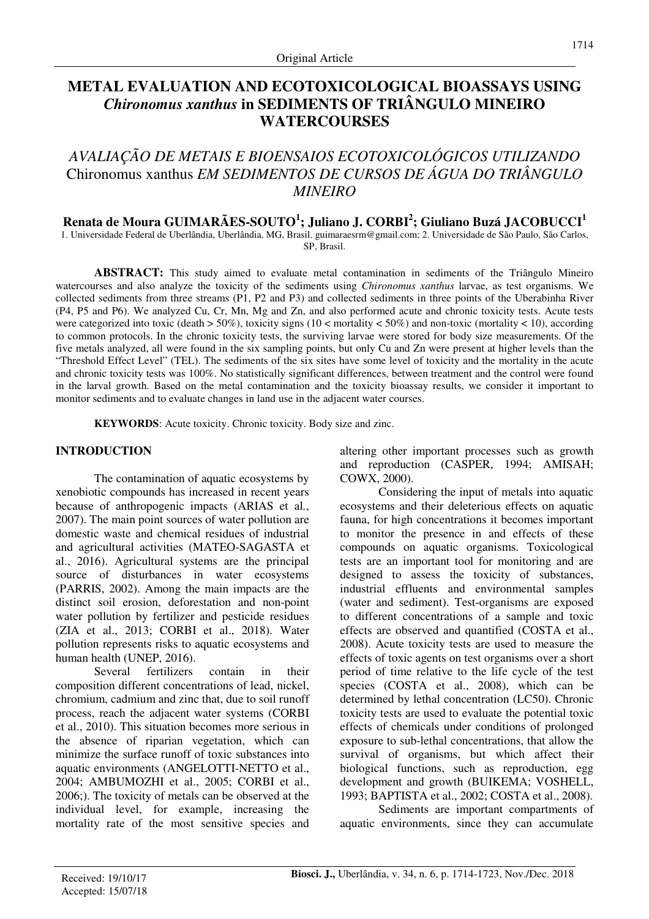# **METAL EVALUATION AND ECOTOXICOLOGICAL BIOASSAYS USING**  *Chironomus xanthus* **in SEDIMENTS OF TRIÂNGULO MINEIRO WATERCOURSES**

# *AVALIAÇÃO DE METAIS E BIOENSAIOS ECOTOXICOLÓGICOS UTILIZANDO*  Chironomus xanthus *EM SEDIMENTOS DE CURSOS DE ÁGUA DO TRIÂNGULO MINEIRO*

# **Renata de Moura GUIMARÃES-SOUTO<sup>1</sup> ; Juliano J. CORBI<sup>2</sup> ; Giuliano Buzá JACOBUCCI<sup>1</sup>**

1. Universidade Federal de Uberlândia, Uberlândia, MG, Brasil. guimaraesrm@gmail.com; 2. Universidade de São Paulo, São Carlos, SP, Brasil.

**ABSTRACT:** This study aimed to evaluate metal contamination in sediments of the Triângulo Mineiro watercourses and also analyze the toxicity of the sediments using *Chironomus xanthus* larvae, as test organisms. We collected sediments from three streams (P1, P2 and P3) and collected sediments in three points of the Uberabinha River (P4, P5 and P6). We analyzed Cu, Cr, Mn, Mg and Zn, and also performed acute and chronic toxicity tests. Acute tests were categorized into toxic (death  $> 50\%$ ), toxicity signs (10 < mortality  $< 50\%$ ) and non-toxic (mortality  $< 10$ ), according to common protocols. In the chronic toxicity tests, the surviving larvae were stored for body size measurements. Of the five metals analyzed, all were found in the six sampling points, but only Cu and Zn were present at higher levels than the "Threshold Effect Level" (TEL). The sediments of the six sites have some level of toxicity and the mortality in the acute and chronic toxicity tests was 100%. No statistically significant differences, between treatment and the control were found in the larval growth. Based on the metal contamination and the toxicity bioassay results, we consider it important to monitor sediments and to evaluate changes in land use in the adjacent water courses.

**KEYWORDS**: Acute toxicity. Chronic toxicity. Body size and zinc.

#### **INTRODUCTION**

The contamination of aquatic ecosystems by xenobiotic compounds has increased in recent years because of anthropogenic impacts (ARIAS et al*.*, 2007). The main point sources of water pollution are domestic waste and chemical residues of industrial and agricultural activities (MATEO-SAGASTA et al., 2016). Agricultural systems are the principal source of disturbances in water ecosystems (PARRIS, 2002). Among the main impacts are the distinct soil erosion, deforestation and non-point water pollution by fertilizer and pesticide residues (ZIA et al., 2013; CORBI et al., 2018). Water pollution represents risks to aquatic ecosystems and human health (UNEP, 2016).

Several fertilizers contain in their composition different concentrations of lead, nickel, chromium, cadmium and zinc that, due to soil runoff process, reach the adjacent water systems (CORBI et al., 2010). This situation becomes more serious in the absence of riparian vegetation, which can minimize the surface runoff of toxic substances into aquatic environments (ANGELOTTI-NETTO et al., 2004; AMBUMOZHI et al., 2005; CORBI et al., 2006;). The toxicity of metals can be observed at the individual level, for example, increasing the mortality rate of the most sensitive species and altering other important processes such as growth and reproduction (CASPER, 1994; AMISAH; COWX, 2000).

Considering the input of metals into aquatic ecosystems and their deleterious effects on aquatic fauna, for high concentrations it becomes important to monitor the presence in and effects of these compounds on aquatic organisms. Toxicological tests are an important tool for monitoring and are designed to assess the toxicity of substances, industrial effluents and environmental samples (water and sediment). Test-organisms are exposed to different concentrations of a sample and toxic effects are observed and quantified (COSTA et al., 2008). Acute toxicity tests are used to measure the effects of toxic agents on test organisms over a short period of time relative to the life cycle of the test species (COSTA et al., 2008), which can be determined by lethal concentration (LC50). Chronic toxicity tests are used to evaluate the potential toxic effects of chemicals under conditions of prolonged exposure to sub-lethal concentrations, that allow the survival of organisms, but which affect their biological functions, such as reproduction, egg development and growth (BUIKEMA; VOSHELL, 1993; BAPTISTA et al., 2002; COSTA et al., 2008).

Sediments are important compartments of aquatic environments, since they can accumulate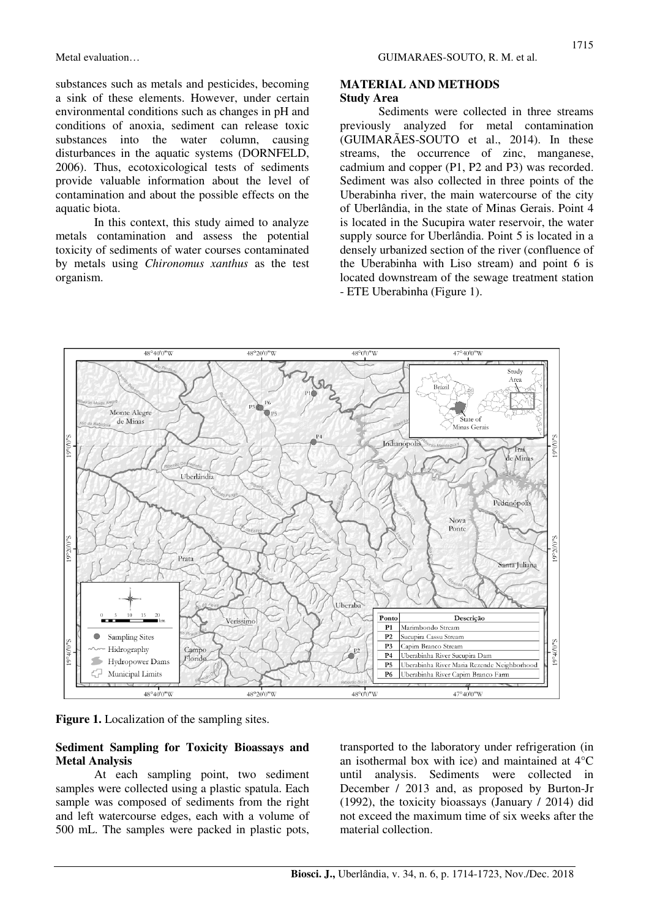substances such as metals and pesticides, becoming a sink of these elements. However, under certain environmental conditions such as changes in pH and conditions of anoxia, sediment can release toxic substances into the water column, causing disturbances in the aquatic systems (DORNFELD, 2006). Thus, ecotoxicological tests of sediments provide valuable information about the level of contamination and about the possible effects on the aquatic biota.

In this context, this study aimed to analyze metals contamination and assess the potential toxicity of sediments of water courses contaminated by metals using *Chironomus xanthus* as the test organism.

#### **MATERIAL AND METHODS Study Area**

Sediments were collected in three streams previously analyzed for metal contamination (GUIMARÃES-SOUTO et al., 2014). In these streams, the occurrence of zinc, manganese, cadmium and copper (P1, P2 and P3) was recorded. Sediment was also collected in three points of the Uberabinha river, the main watercourse of the city of Uberlândia, in the state of Minas Gerais. Point 4 is located in the Sucupira water reservoir, the water supply source for Uberlândia. Point 5 is located in a densely urbanized section of the river (confluence of the Uberabinha with Liso stream) and point 6 is located downstream of the sewage treatment station - ETE Uberabinha (Figure 1).



**Figure 1.** Localization of the sampling sites.

#### **Sediment Sampling for Toxicity Bioassays and Metal Analysis**

At each sampling point, two sediment samples were collected using a plastic spatula. Each sample was composed of sediments from the right and left watercourse edges, each with a volume of 500 mL. The samples were packed in plastic pots, transported to the laboratory under refrigeration (in an isothermal box with ice) and maintained at 4°C until analysis. Sediments were collected in December / 2013 and, as proposed by Burton-Jr (1992), the toxicity bioassays (January / 2014) did not exceed the maximum time of six weeks after the material collection.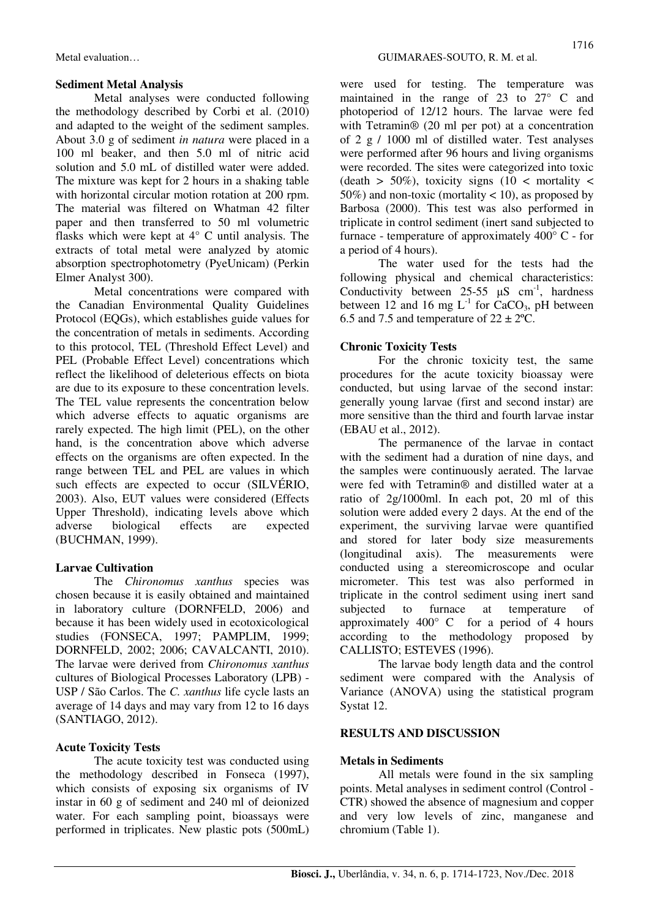#### **Sediment Metal Analysis**

Metal analyses were conducted following the methodology described by Corbi et al. (2010) and adapted to the weight of the sediment samples. About 3.0 g of sediment *in natura* were placed in a 100 ml beaker, and then 5.0 ml of nitric acid solution and 5.0 mL of distilled water were added. The mixture was kept for 2 hours in a shaking table with horizontal circular motion rotation at 200 rpm. The material was filtered on Whatman 42 filter paper and then transferred to 50 ml volumetric flasks which were kept at 4° C until analysis. The extracts of total metal were analyzed by atomic absorption spectrophotometry (PyeUnicam) (Perkin Elmer Analyst 300).

Metal concentrations were compared with the Canadian Environmental Quality Guidelines Protocol (EQGs), which establishes guide values for the concentration of metals in sediments. According to this protocol, TEL (Threshold Effect Level) and PEL (Probable Effect Level) concentrations which reflect the likelihood of deleterious effects on biota are due to its exposure to these concentration levels. The TEL value represents the concentration below which adverse effects to aquatic organisms are rarely expected. The high limit (PEL), on the other hand, is the concentration above which adverse effects on the organisms are often expected. In the range between TEL and PEL are values in which such effects are expected to occur (SILVÉRIO, 2003). Also, EUT values were considered (Effects Upper Threshold), indicating levels above which adverse biological effects are expected (BUCHMAN, 1999).

## **Larvae Cultivation**

The *Chironomus xanthus* species was chosen because it is easily obtained and maintained in laboratory culture (DORNFELD, 2006) and because it has been widely used in ecotoxicological studies (FONSECA, 1997; PAMPLIM, 1999; DORNFELD, 2002; 2006; CAVALCANTI, 2010). The larvae were derived from *Chironomus xanthus*  cultures of Biological Processes Laboratory (LPB) - USP / São Carlos. The *C. xanthus* life cycle lasts an average of 14 days and may vary from 12 to 16 days (SANTIAGO, 2012).

## **Acute Toxicity Tests**

The acute toxicity test was conducted using the methodology described in Fonseca (1997), which consists of exposing six organisms of IV instar in 60 g of sediment and 240 ml of deionized water. For each sampling point, bioassays were performed in triplicates. New plastic pots (500mL) were used for testing. The temperature was maintained in the range of 23 to 27° C and photoperiod of 12/12 hours. The larvae were fed with Tetramin<sup>®</sup> (20 ml per pot) at a concentration of 2 g / 1000 ml of distilled water. Test analyses were performed after 96 hours and living organisms were recorded. The sites were categorized into toxic (death  $> 50\%$ ), toxicity signs (10 < mortality < 50%) and non-toxic (mortality < 10), as proposed by Barbosa (2000). This test was also performed in triplicate in control sediment (inert sand subjected to furnace - temperature of approximately 400° C - for a period of 4 hours).

The water used for the tests had the following physical and chemical characteristics: Conductivity between  $25-55 \mu S \text{ cm}^{-1}$ , hardness between 12 and 16 mg  $L^{-1}$  for CaCO<sub>3</sub>, pH between 6.5 and 7.5 and temperature of  $22 \pm 2$ °C.

# **Chronic Toxicity Tests**

For the chronic toxicity test, the same procedures for the acute toxicity bioassay were conducted, but using larvae of the second instar: generally young larvae (first and second instar) are more sensitive than the third and fourth larvae instar (EBAU et al., 2012).

The permanence of the larvae in contact with the sediment had a duration of nine days, and the samples were continuously aerated. The larvae were fed with Tetramin® and distilled water at a ratio of 2g/1000ml. In each pot, 20 ml of this solution were added every 2 days. At the end of the experiment, the surviving larvae were quantified and stored for later body size measurements (longitudinal axis). The measurements were conducted using a stereomicroscope and ocular micrometer. This test was also performed in triplicate in the control sediment using inert sand subjected to furnace at temperature of approximately 400° C for a period of 4 hours according to the methodology proposed by CALLISTO; ESTEVES (1996).

The larvae body length data and the control sediment were compared with the Analysis of Variance (ANOVA) using the statistical program Systat 12.

## **RESULTS AND DISCUSSION**

## **Metals in Sediments**

All metals were found in the six sampling points. Metal analyses in sediment control (Control - CTR) showed the absence of magnesium and copper and very low levels of zinc, manganese and chromium (Table 1).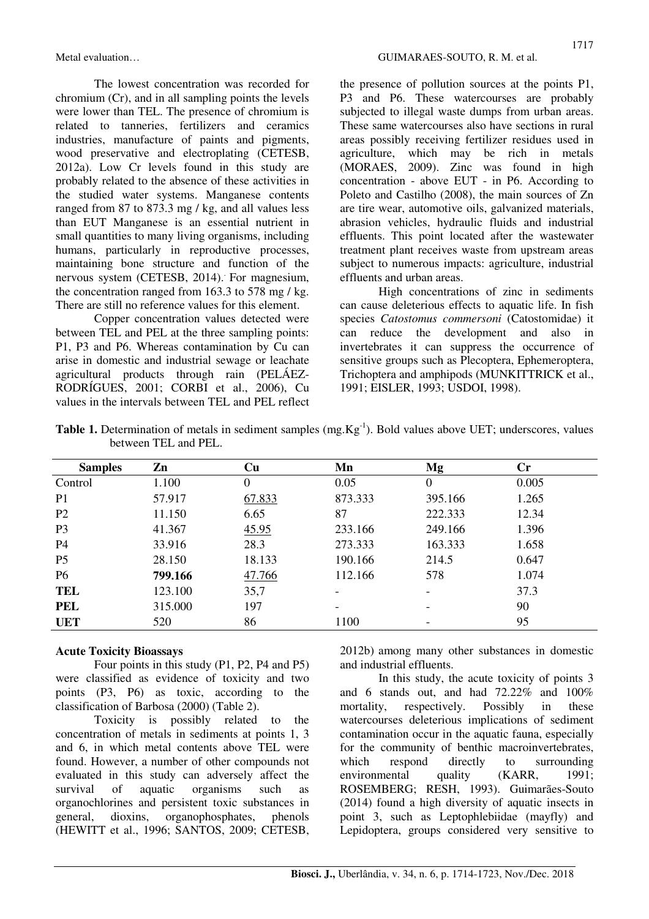The lowest concentration was recorded for chromium (Cr), and in all sampling points the levels were lower than TEL. The presence of chromium is related to tanneries, fertilizers and ceramics industries, manufacture of paints and pigments, wood preservative and electroplating (CETESB, 2012a). Low Cr levels found in this study are probably related to the absence of these activities in the studied water systems. Manganese contents ranged from 87 to 873.3 mg / kg, and all values less than EUT Manganese is an essential nutrient in small quantities to many living organisms, including humans, particularly in reproductive processes, maintaining bone structure and function of the nervous system (CETESB, 2014). For magnesium, the concentration ranged from 163.3 to 578 mg / kg. There are still no reference values for this element.

Copper concentration values detected were between TEL and PEL at the three sampling points: P1, P3 and P6. Whereas contamination by Cu can arise in domestic and industrial sewage or leachate agricultural products through rain (PELÁEZ-RODRÍGUES, 2001; CORBI et al., 2006), Cu values in the intervals between TEL and PEL reflect the presence of pollution sources at the points P1, P3 and P6. These watercourses are probably subjected to illegal waste dumps from urban areas. These same watercourses also have sections in rural areas possibly receiving fertilizer residues used in agriculture, which may be rich in metals (MORAES, 2009). Zinc was found in high concentration - above EUT - in P6. According to Poleto and Castilho (2008), the main sources of Zn are tire wear, automotive oils, galvanized materials, abrasion vehicles, hydraulic fluids and industrial effluents. This point located after the wastewater treatment plant receives waste from upstream areas subject to numerous impacts: agriculture, industrial effluents and urban areas.

High concentrations of zinc in sediments can cause deleterious effects to aquatic life. In fish species *Catostomus commersoni* (Catostomidae) it can reduce the development and also in invertebrates it can suppress the occurrence of sensitive groups such as Plecoptera, Ephemeroptera, Trichoptera and amphipods (MUNKITTRICK et al., 1991; EISLER, 1993; USDOI, 1998).

|                      | <b>Table 1.</b> Determination of metals in sediment samples $(mg.Kg^{-1})$ . Bold values above UET; underscores, values |
|----------------------|-------------------------------------------------------------------------------------------------------------------------|
| between TEL and PEL. |                                                                                                                         |

| <b>Samples</b> | Zn      | $\mathbf{C}\mathbf{u}$ | Mn      | Mg                       | $\mathbf{Cr}$ |
|----------------|---------|------------------------|---------|--------------------------|---------------|
| Control        | 1.100   | $\boldsymbol{0}$       | 0.05    | $\boldsymbol{0}$         | 0.005         |
| P <sub>1</sub> | 57.917  | 67.833                 | 873.333 | 395.166                  | 1.265         |
| P <sub>2</sub> | 11.150  | 6.65                   | 87      | 222.333                  | 12.34         |
| P <sub>3</sub> | 41.367  | 45.95                  | 233.166 | 249.166                  | 1.396         |
| P <sub>4</sub> | 33.916  | 28.3                   | 273.333 | 163.333                  | 1.658         |
| P <sub>5</sub> | 28.150  | 18.133                 | 190.166 | 214.5                    | 0.647         |
| P <sub>6</sub> | 799.166 | 47.766                 | 112.166 | 578                      | 1.074         |
| <b>TEL</b>     | 123.100 | 35,7                   |         | $\overline{\phantom{0}}$ | 37.3          |
| <b>PEL</b>     | 315.000 | 197                    |         | -                        | 90            |
| <b>UET</b>     | 520     | 86                     | 1100    | $\overline{\phantom{0}}$ | 95            |

### **Acute Toxicity Bioassays**

Four points in this study (P1, P2, P4 and P5) were classified as evidence of toxicity and two points (P3, P6) as toxic, according to the classification of Barbosa (2000) (Table 2).

Toxicity is possibly related to the concentration of metals in sediments at points 1, 3 and 6, in which metal contents above TEL were found. However, a number of other compounds not evaluated in this study can adversely affect the survival of aquatic organisms such as organochlorines and persistent toxic substances in general, dioxins, organophosphates, phenols (HEWITT et al., 1996; SANTOS, 2009; CETESB, 2012b) among many other substances in domestic and industrial effluents.

In this study, the acute toxicity of points 3 and 6 stands out, and had 72.22% and 100% mortality, respectively. Possibly in these watercourses deleterious implications of sediment contamination occur in the aquatic fauna, especially for the community of benthic macroinvertebrates, which respond directly to surrounding environmental quality (KARR, 1991; ROSEMBERG; RESH, 1993). Guimarães-Souto (2014) found a high diversity of aquatic insects in point 3, such as Leptophlebiidae (mayfly) and Lepidoptera, groups considered very sensitive to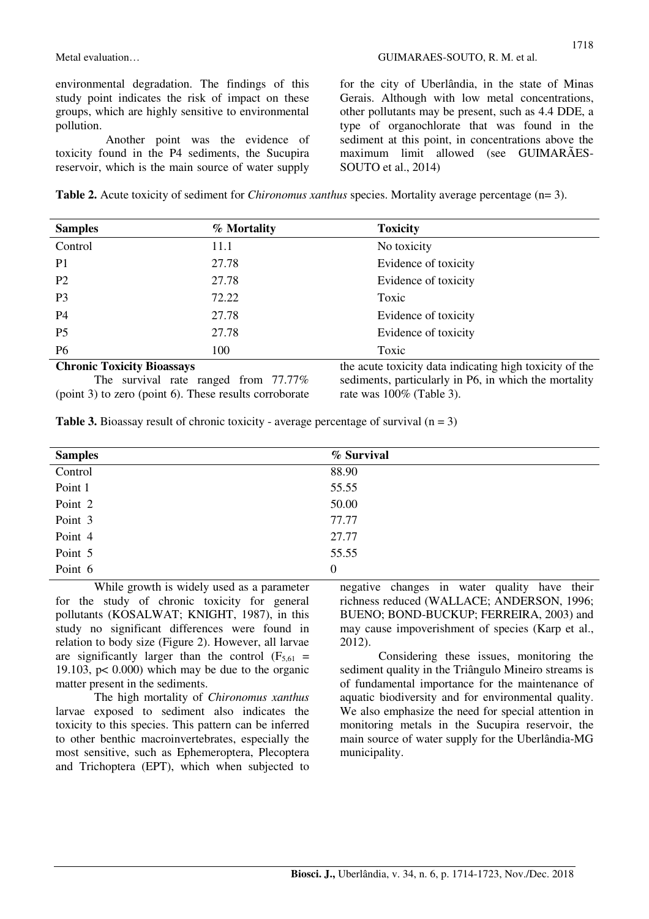Another point was the evidence of toxicity found in the P4 sediments, the Sucupira reservoir, which is the main source of water supply for the city of Uberlândia, in the state of Minas Gerais. Although with low metal concentrations, other pollutants may be present, such as 4.4 DDE, a type of organochlorate that was found in the sediment at this point, in concentrations above the maximum limit allowed (see GUIMARÃES-SOUTO et al., 2014)

**Table 2.** Acute toxicity of sediment for *Chironomus xanthus* species. Mortality average percentage (n= 3).

| <b>Samples</b>                    | % Mortality | <b>Toxicity</b>                                         |
|-----------------------------------|-------------|---------------------------------------------------------|
| Control                           | 11.1        | No toxicity                                             |
| P <sub>1</sub>                    | 27.78       | Evidence of toxicity                                    |
| P <sub>2</sub>                    | 27.78       | Evidence of toxicity                                    |
| P <sub>3</sub>                    | 72.22       | Toxic                                                   |
| P <sub>4</sub>                    | 27.78       | Evidence of toxicity                                    |
| P <sub>5</sub>                    | 27.78       | Evidence of toxicity                                    |
| P <sub>6</sub>                    | 100         | Toxic                                                   |
| <b>Chronic Toxicity Bioassays</b> |             | the acute toxicity data indicating high toxicity of the |

The survival rate ranged from 77.77% (point 3) to zero (point 6). These results corroborate

the acute toxicity data indicating high toxicity of the sediments, particularly in P6, in which the mortality rate was 100% (Table 3).

**Table 3.** Bioassay result of chronic toxicity - average percentage of survival  $(n = 3)$ 

| <b>Samples</b> | % Survival       |
|----------------|------------------|
| Control        | 88.90            |
| Point 1        | 55.55            |
| Point 2        | 50.00            |
| Point 3        | 77.77            |
| Point 4        | 27.77            |
| Point 5        | 55.55            |
| Point 6        | $\boldsymbol{0}$ |

While growth is widely used as a parameter for the study of chronic toxicity for general pollutants (KOSALWAT; KNIGHT, 1987), in this study no significant differences were found in relation to body size (Figure 2). However, all larvae are significantly larger than the control  $(F_{5,61} =$ 19.103,  $p < 0.000$ ) which may be due to the organic matter present in the sediments.

The high mortality of *Chironomus xanthus* larvae exposed to sediment also indicates the toxicity to this species. This pattern can be inferred to other benthic macroinvertebrates, especially the most sensitive, such as Ephemeroptera, Plecoptera and Trichoptera (EPT), which when subjected to negative changes in water quality have their richness reduced (WALLACE; ANDERSON, 1996; BUENO; BOND-BUCKUP; FERREIRA, 2003) and may cause impoverishment of species (Karp et al., 2012).

Considering these issues, monitoring the sediment quality in the Triângulo Mineiro streams is of fundamental importance for the maintenance of aquatic biodiversity and for environmental quality. We also emphasize the need for special attention in monitoring metals in the Sucupira reservoir, the main source of water supply for the Uberlândia-MG municipality.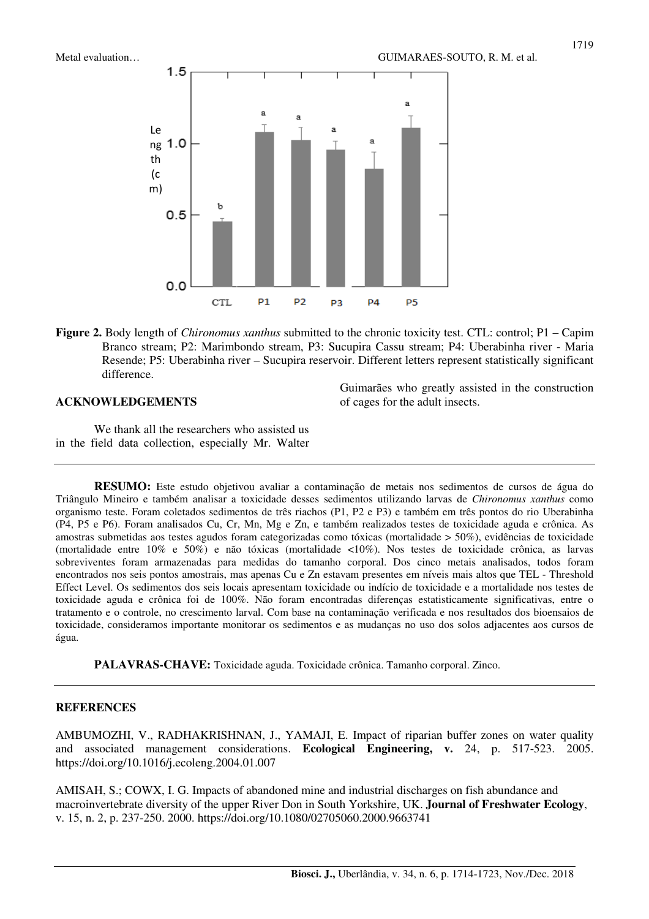

**Figure 2.** Body length of *Chironomus xanthus* submitted to the chronic toxicity test. CTL: control; P1 – Capim Branco stream; P2: Marimbondo stream, P3: Sucupira Cassu stream; P4: Uberabinha river - Maria Resende; P5: Uberabinha river – Sucupira reservoir. Different letters represent statistically significant difference.

#### **ACKNOWLEDGEMENTS**

Guimarães who greatly assisted in the construction of cages for the adult insects.

We thank all the researchers who assisted us in the field data collection, especially Mr. Walter

**RESUMO:** Este estudo objetivou avaliar a contaminação de metais nos sedimentos de cursos de água do Triângulo Mineiro e também analisar a toxicidade desses sedimentos utilizando larvas de *Chironomus xanthus* como organismo teste. Foram coletados sedimentos de três riachos (P1, P2 e P3) e também em três pontos do rio Uberabinha (P4, P5 e P6). Foram analisados Cu, Cr, Mn, Mg e Zn, e também realizados testes de toxicidade aguda e crônica. As amostras submetidas aos testes agudos foram categorizadas como tóxicas (mortalidade > 50%), evidências de toxicidade (mortalidade entre 10% e 50%) e não tóxicas (mortalidade <10%). Nos testes de toxicidade crônica, as larvas sobreviventes foram armazenadas para medidas do tamanho corporal. Dos cinco metais analisados, todos foram encontrados nos seis pontos amostrais, mas apenas Cu e Zn estavam presentes em níveis mais altos que TEL - Threshold Effect Level. Os sedimentos dos seis locais apresentam toxicidade ou indício de toxicidade e a mortalidade nos testes de toxicidade aguda e crônica foi de 100%. Não foram encontradas diferenças estatisticamente significativas, entre o tratamento e o controle, no crescimento larval. Com base na contaminação verificada e nos resultados dos bioensaios de toxicidade, consideramos importante monitorar os sedimentos e as mudanças no uso dos solos adjacentes aos cursos de água.

**PALAVRAS-CHAVE:** Toxicidade aguda. Toxicidade crônica. Tamanho corporal. Zinco.

#### **REFERENCES**

AMBUMOZHI, V., RADHAKRISHNAN, J., YAMAJI, E. Impact of riparian buffer zones on water quality and associated management considerations. **Ecological Engineering, v.** 24, p. 517-523. 2005. https://doi.org/10.1016/j.ecoleng.2004.01.007

AMISAH, S.; COWX, I. G. Impacts of abandoned mine and industrial discharges on fish abundance and macroinvertebrate diversity of the upper River Don in South Yorkshire, UK. **Journal of Freshwater Ecology**, v. 15, n. 2, p. 237-250. 2000. https://doi.org/10.1080/02705060.2000.9663741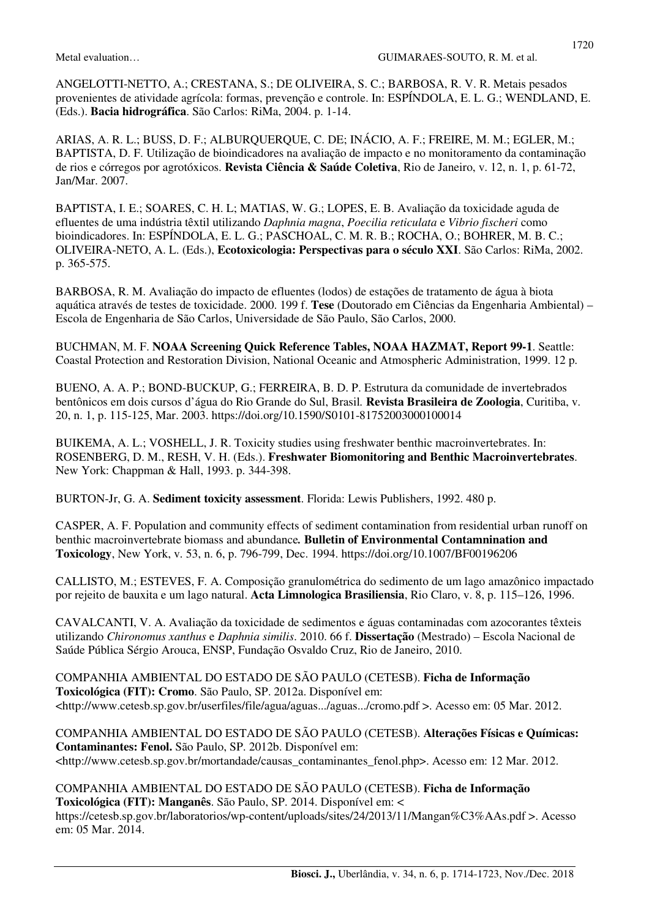ANGELOTTI-NETTO, A.; CRESTANA, S.; DE OLIVEIRA, S. C.; BARBOSA, R. V. R. Metais pesados provenientes de atividade agrícola: formas, prevenção e controle. In: ESPÍNDOLA, E. L. G.; WENDLAND, E. (Eds.). **Bacia hidrográfica**. São Carlos: RiMa, 2004. p. 1-14.

ARIAS, A. R. L.; BUSS, D. F.; ALBURQUERQUE, C. DE; INÁCIO, A. F.; FREIRE, M. M.; EGLER, M.; BAPTISTA, D. F. Utilização de bioindicadores na avaliação de impacto e no monitoramento da contaminação de rios e córregos por agrotóxicos. **Revista Ciência & Saúde Coletiva**, Rio de Janeiro, v. 12, n. 1, p. 61-72, Jan/Mar. 2007.

BAPTISTA, I. E.; SOARES, C. H. L; MATIAS, W. G.; LOPES, E. B. Avaliação da toxicidade aguda de efluentes de uma indústria têxtil utilizando *Daphnia magna*, *Poecilia reticulata* e *Vibrio fischeri* como bioindicadores. In: ESPÍNDOLA, E. L. G.; PASCHOAL, C. M. R. B.; ROCHA, O.; BOHRER, M. B. C.; OLIVEIRA-NETO, A. L. (Eds.), **Ecotoxicologia: Perspectivas para o século XXI**. São Carlos: RiMa, 2002. p. 365-575.

BARBOSA, R. M. Avaliação do impacto de efluentes (lodos) de estações de tratamento de água à biota aquática através de testes de toxicidade. 2000. 199 f. **Tese** (Doutorado em Ciências da Engenharia Ambiental) – Escola de Engenharia de São Carlos, Universidade de São Paulo, São Carlos, 2000.

BUCHMAN, M. F. **NOAA Screening Quick Reference Tables, NOAA HAZMAT, Report 99-1**. Seattle: Coastal Protection and Restoration Division, National Oceanic and Atmospheric Administration, 1999. 12 p.

BUENO, A. A. P.; BOND-BUCKUP, G.; FERREIRA, B. D. P. Estrutura da comunidade de invertebrados bentônicos em dois cursos d'água do Rio Grande do Sul, Brasil*.* **Revista Brasileira de Zoologia**, Curitiba, v. 20, n. 1, p. 115-125, Mar. 2003. https://doi.org/10.1590/S0101-81752003000100014

BUIKEMA, A. L.; VOSHELL, J. R. Toxicity studies using freshwater benthic macroinvertebrates. In: ROSENBERG, D. M., RESH, V. H. (Eds.). **Freshwater Biomonitoring and Benthic Macroinvertebrates**. New York: Chappman & Hall, 1993. p. 344-398.

BURTON-Jr, G. A. **Sediment toxicity assessment**. Florida: Lewis Publishers, 1992. 480 p.

CASPER, A. F. Population and community effects of sediment contamination from residential urban runoff on benthic macroinvertebrate biomass and abundance*.* **Bulletin of Environmental Contamnination and Toxicology**, New York, v. 53, n. 6, p. 796-799, Dec. 1994. https://doi.org/10.1007/BF00196206

CALLISTO, M.; ESTEVES, F. A. Composição granulométrica do sedimento de um lago amazônico impactado por rejeito de bauxita e um lago natural. **Acta Limnologica Brasiliensia**, Rio Claro, v. 8, p. 115–126, 1996.

CAVALCANTI, V. A. Avaliação da toxicidade de sedimentos e águas contaminadas com azocorantes têxteis utilizando *Chironomus xanthus* e *Daphnia similis*. 2010. 66 f. **Dissertação** (Mestrado) – Escola Nacional de Saúde Pública Sérgio Arouca, ENSP, Fundação Osvaldo Cruz, Rio de Janeiro, 2010.

COMPANHIA AMBIENTAL DO ESTADO DE SÃO PAULO (CETESB). **Ficha de Informação Toxicológica (FIT): Cromo**. São Paulo, SP. 2012a. Disponível em: <http://www.cetesb.sp.gov.br/userfiles/file/agua/aguas.../aguas.../cromo.pdf >. Acesso em: 05 Mar. 2012.

COMPANHIA AMBIENTAL DO ESTADO DE SÃO PAULO (CETESB). **Alterações Físicas e Químicas: Contaminantes: Fenol.** São Paulo, SP. 2012b. Disponível em: <http://www.cetesb.sp.gov.br/mortandade/causas\_contaminantes\_fenol.php>. Acesso em: 12 Mar. 2012.

COMPANHIA AMBIENTAL DO ESTADO DE SÃO PAULO (CETESB). **Ficha de Informação Toxicológica (FIT): Manganês**. São Paulo, SP. 2014. Disponível em: <

https://cetesb.sp.gov.br/laboratorios/wp-content/uploads/sites/24/2013/11/Mangan%C3%AAs.pdf >. Acesso em: 05 Mar. 2014.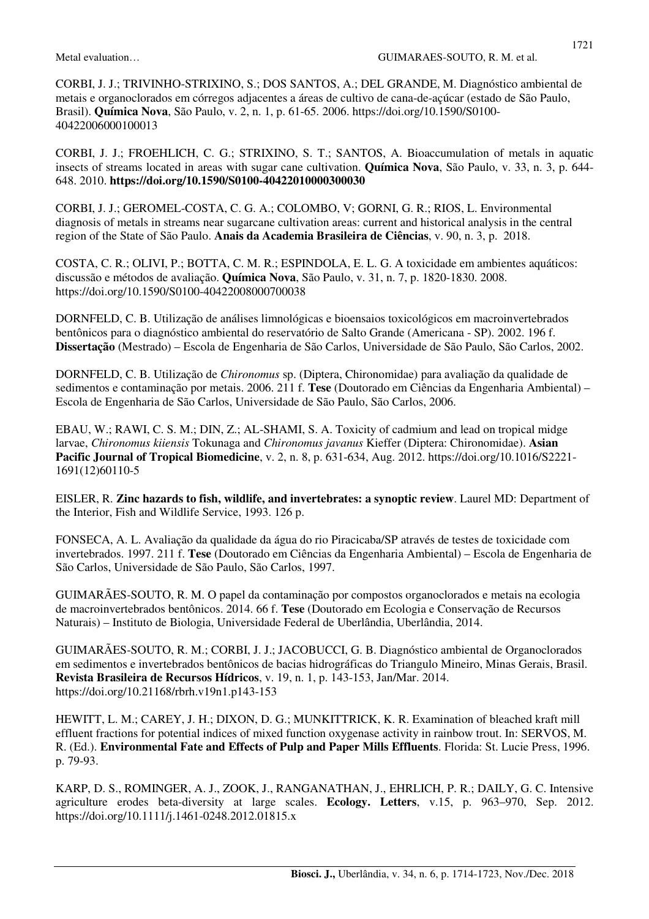CORBI, J. J.; TRIVINHO-STRIXINO, S.; DOS SANTOS, A.; DEL GRANDE, M. Diagnóstico ambiental de metais e organoclorados em córregos adjacentes a áreas de cultivo de cana-de-açúcar (estado de São Paulo, Brasil). **Química Nova**, São Paulo, v. 2, n. 1, p. 61-65. 2006. https://doi.org/10.1590/S0100- 40422006000100013

CORBI, J. J.; FROEHLICH, C. G.; STRIXINO, S. T.; SANTOS, A. Bioaccumulation of metals in aquatic insects of streams located in areas with sugar cane cultivation. **Química Nova**, São Paulo, v. 33, n. 3, p. 644- 648. 2010. **https://doi.org/10.1590/S0100-40422010000300030**

CORBI, J. J.; GEROMEL-COSTA, C. G. A.; COLOMBO, V; GORNI, G. R.; RIOS, L. Environmental diagnosis of metals in streams near sugarcane cultivation areas: current and historical analysis in the central region of the State of São Paulo. **Anais da Academia Brasileira de Ciências**, v. 90, n. 3, p. 2018.

COSTA, C. R.; OLIVI, P.; BOTTA, C. M. R.; ESPINDOLA, E. L. G. A toxicidade em ambientes aquáticos: discussão e métodos de avaliação. **Química Nova**, São Paulo, v. 31, n. 7, p. 1820-1830. 2008. https://doi.org/10.1590/S0100-40422008000700038

DORNFELD, C. B. Utilização de análises limnológicas e bioensaios toxicológicos em macroinvertebrados bentônicos para o diagnóstico ambiental do reservatório de Salto Grande (Americana - SP). 2002. 196 f. **Dissertação** (Mestrado) – Escola de Engenharia de São Carlos, Universidade de São Paulo, São Carlos, 2002.

DORNFELD, C. B. Utilização de *Chironomus* sp. (Diptera, Chironomidae) para avaliação da qualidade de sedimentos e contaminação por metais. 2006. 211 f. **Tese** (Doutorado em Ciências da Engenharia Ambiental) – Escola de Engenharia de São Carlos, Universidade de São Paulo, São Carlos, 2006.

EBAU, W.; RAWI, C. S. M.; DIN, Z.; AL-SHAMI, S. A. Toxicity of cadmium and lead on tropical midge larvae, *Chironomus kiiensis* Tokunaga and *Chironomus javanus* Kieffer (Diptera: Chironomidae). **Asian Pacific Journal of Tropical Biomedicine**, v. 2, n. 8, p. 631-634, Aug. 2012. https://doi.org/10.1016/S2221- 1691(12)60110-5

EISLER, R. **Zinc hazards to fish, wildlife, and invertebrates: a synoptic review**. Laurel MD: Department of the Interior, Fish and Wildlife Service, 1993. 126 p.

FONSECA, A. L. Avaliação da qualidade da água do rio Piracicaba/SP através de testes de toxicidade com invertebrados. 1997. 211 f. **Tese** (Doutorado em Ciências da Engenharia Ambiental) – Escola de Engenharia de São Carlos, Universidade de São Paulo, São Carlos, 1997.

GUIMARÃES-SOUTO, R. M. O papel da contaminação por compostos organoclorados e metais na ecologia de macroinvertebrados bentônicos. 2014. 66 f. **Tese** (Doutorado em Ecologia e Conservação de Recursos Naturais) – Instituto de Biologia, Universidade Federal de Uberlândia, Uberlândia, 2014.

GUIMARÃES-SOUTO, R. M.; CORBI, J. J.; JACOBUCCI, G. B. Diagnóstico ambiental de Organoclorados em sedimentos e invertebrados bentônicos de bacias hidrográficas do Triangulo Mineiro, Minas Gerais, Brasil. **Revista Brasileira de Recursos Hídricos**, v. 19, n. 1, p. 143-153, Jan/Mar. 2014. https://doi.org/10.21168/rbrh.v19n1.p143-153

HEWITT, L. M.; CAREY, J. H.; DIXON, D. G.; MUNKITTRICK, K. R. Examination of bleached kraft mill effluent fractions for potential indices of mixed function oxygenase activity in rainbow trout. In: SERVOS, M. R. (Ed.). **Environmental Fate and Effects of Pulp and Paper Mills Effluents**. Florida: St. Lucie Press, 1996. p. 79-93.

KARP, D. S., ROMINGER, A. J., ZOOK, J., RANGANATHAN, J., EHRLICH, P. R.; DAILY, G. C. Intensive agriculture erodes beta-diversity at large scales. **Ecology. Letters**, v.15, p. 963–970, Sep. 2012. https://doi.org/10.1111/j.1461-0248.2012.01815.x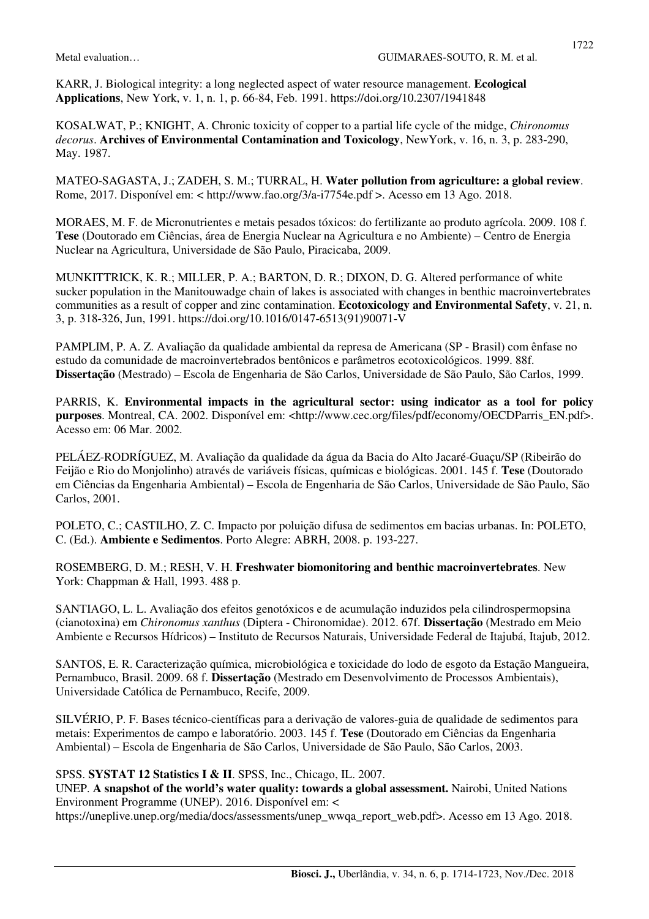KARR, J. Biological integrity: a long neglected aspect of water resource management. **Ecological Applications**, New York, v. 1, n. 1, p. 66-84, Feb. 1991. https://doi.org/10.2307/1941848

KOSALWAT, P.; KNIGHT, A. Chronic toxicity of copper to a partial life cycle of the midge, *Chironomus decorus*. **Archives of Environmental Contamination and Toxicology**, NewYork, v. 16, n. 3, p. 283-290, May. 1987.

MATEO-SAGASTA, J.; ZADEH, S. M.; TURRAL, H. **Water pollution from agriculture: a global review**. Rome, 2017. Disponível em: < http://www.fao.org/3/a-i7754e.pdf >. Acesso em 13 Ago. 2018.

MORAES, M. F. de Micronutrientes e metais pesados tóxicos: do fertilizante ao produto agrícola. 2009. 108 f. **Tese** (Doutorado em Ciências, área de Energia Nuclear na Agricultura e no Ambiente) – Centro de Energia Nuclear na Agricultura, Universidade de São Paulo, Piracicaba, 2009.

MUNKITTRICK, K. R.; MILLER, P. A.; BARTON, D. R.; DIXON, D. G. Altered performance of white sucker population in the Manitouwadge chain of lakes is associated with changes in benthic macroinvertebrates communities as a result of copper and zinc contamination. **Ecotoxicology and Environmental Safety**, v. 21, n. 3, p. 318-326, Jun, 1991. https://doi.org/10.1016/0147-6513(91)90071-V

PAMPLIM, P. A. Z. Avaliação da qualidade ambiental da represa de Americana (SP - Brasil) com ênfase no estudo da comunidade de macroinvertebrados bentônicos e parâmetros ecotoxicológicos. 1999. 88f. **Dissertação** (Mestrado) – Escola de Engenharia de São Carlos, Universidade de São Paulo, São Carlos, 1999.

PARRIS, K. **Environmental impacts in the agricultural sector: using indicator as a tool for policy purposes**. Montreal, CA. 2002. Disponível em: <http://www.cec.org/files/pdf/economy/OECDParris\_EN.pdf>. Acesso em: 06 Mar. 2002.

PELÁEZ-RODRÍGUEZ, M. Avaliação da qualidade da água da Bacia do Alto Jacaré-Guaçu/SP (Ribeirão do Feijão e Rio do Monjolinho) através de variáveis físicas, químicas e biológicas. 2001. 145 f. **Tese** (Doutorado em Ciências da Engenharia Ambiental) – Escola de Engenharia de São Carlos, Universidade de São Paulo, São Carlos, 2001.

POLETO, C.; CASTILHO, Z. C. Impacto por poluição difusa de sedimentos em bacias urbanas. In: POLETO, C. (Ed.). **Ambiente e Sedimentos**. Porto Alegre: ABRH, 2008. p. 193-227.

ROSEMBERG, D. M.; RESH, V. H. **Freshwater biomonitoring and benthic macroinvertebrates**. New York: Chappman & Hall, 1993. 488 p.

SANTIAGO, L. L. Avaliação dos efeitos genotóxicos e de acumulação induzidos pela cilindrospermopsina (cianotoxina) em *Chironomus xanthus* (Diptera - Chironomidae). 2012. 67f. **Dissertação** (Mestrado em Meio Ambiente e Recursos Hídricos) – Instituto de Recursos Naturais, Universidade Federal de Itajubá, Itajub, 2012.

SANTOS, E. R. Caracterização química, microbiológica e toxicidade do lodo de esgoto da Estação Mangueira, Pernambuco, Brasil. 2009. 68 f. **Dissertação** (Mestrado em Desenvolvimento de Processos Ambientais), Universidade Católica de Pernambuco, Recife, 2009.

SILVÉRIO, P. F. Bases técnico-científicas para a derivação de valores-guia de qualidade de sedimentos para metais: Experimentos de campo e laboratório. 2003. 145 f. **Tese** (Doutorado em Ciências da Engenharia Ambiental) – Escola de Engenharia de São Carlos, Universidade de São Paulo, São Carlos, 2003.

### SPSS. **SYSTAT 12 Statistics I & II**. SPSS, Inc., Chicago, IL. 2007.

UNEP. **A snapshot of the world's water quality: towards a global assessment.** Nairobi, United Nations Environment Programme (UNEP). 2016. Disponível em: <

https://uneplive.unep.org/media/docs/assessments/unep\_wwqa\_report\_web.pdf>. Acesso em 13 Ago. 2018.